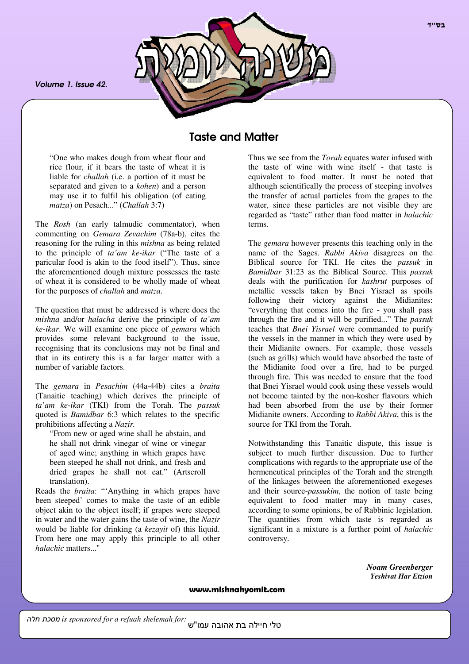*Volume 1. Issue 42.*



# Taste and Matter

"One who makes dough from wheat flour and rice flour, if it bears the taste of wheat it is liable for *challah* (i.e. a portion of it must be separated and given to a *kohen*) and a person may use it to fulfil his obligation (of eating *matza*) on Pesach..." (*Challah* 3:7)

The *Rosh* (an early talmudic commentator), when commenting on *Gemara Zevachim* (78a-b), cites the reasoning for the ruling in this *mishna* as being related to the principle of *ta'am ke-ikar* ("The taste of a paricular food is akin to the food itself"). Thus, since the aforementioned dough mixture possesses the taste of wheat it is considered to be wholly made of wheat for the purposes of *challah* and *matza*.

The question that must be addressed is where does the *mishna* and/or *halacha* derive the principle of *ta'am ke-ikar*. We will examine one piece of *gemara* which provides some relevant background to the issue, recognising that its conclusions may not be final and that in its entirety this is a far larger matter with a number of variable factors.

The *gemara* in *Pesachim* (44a-44b) cites a *braita* (Tanaitic teaching) which derives the principle of *ta'am ke-ikar* (TKI) from the Torah. The *passuk* quoted is *Bamidbar* 6:3 which relates to the specific prohibitions affecting a *Nazir.*

"From new or aged wine shall he abstain, and he shall not drink vinegar of wine or vinegar of aged wine; anything in which grapes have been steeped he shall not drink, and fresh and dried grapes he shall not eat." (Artscroll translation).

Reads the *braita*: "'Anything in which grapes have been steeped' comes to make the taste of an edible object akin to the object itself; if grapes were steeped in water and the water gains the taste of wine, the *Nazir* would be liable for drinking (a *kezayit* of) this liquid. From here one may apply this principle to all other *halachic* matters..."

Thus we see from the *Torah* equates water infused with the taste of wine with wine itself - that taste is equivalent to food matter. It must be noted that although scientifically the process of steeping involves the transfer of actual particles from the grapes to the water, since these particles are not visible they are regarded as "taste" rather than food matter in *halachic* terms.

The *gemara* however presents this teaching only in the name of the Sages. *Rabbi Akiva* disagrees on the Biblical source for TKI. He cites the *passuk* in *Bamidbar* 31:23 as the Biblical Source. This *passuk* deals with the purification for *kashrut* purposes of metallic vessels taken by Bnei Yisrael as spoils following their victory against the Midianites: "everything that comes into the fire - you shall pass through the fire and it will be purified..." The *passuk* teaches that *Bnei Yisrael* were commanded to purify the vessels in the manner in which they were used by their Midianite owners. For example, those vessels (such as grills) which would have absorbed the taste of the Midianite food over a fire, had to be purged through fire. This was needed to ensure that the food that Bnei Yisrael would cook using these vessels would not become tainted by the non-kosher flavours which had been absorbed from the use by their former Midianite owners. According to *Rabbi Akiva*, this is the source for TKI from the Torah.

Notwithstanding this Tanaitic dispute, this issue is subject to much further discussion. Due to further complications with regards to the appropriate use of the hermeneutical principles of the Torah and the strength of the linkages between the aforementioned exegeses and their source-*passukim*, the notion of taste being equivalent to food matter may in many cases, according to some opinions, be of Rabbinic legislation. The quantities from which taste is regarded as significant in a mixture is a further point of *halachic* controversy.

> *Noam Greenberger Yeshivat Har Etzion*

www.mishnahyomit.com